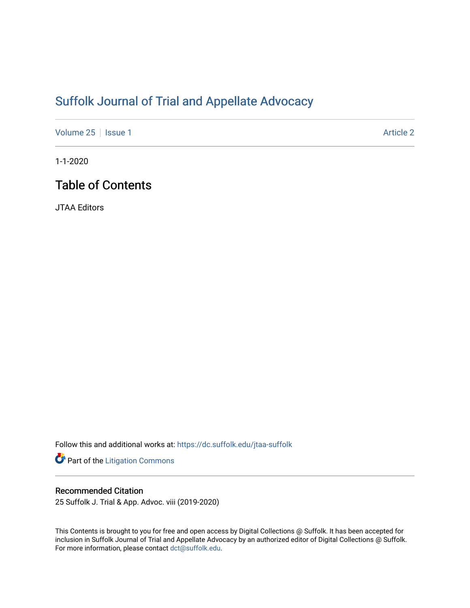# [Suffolk Journal of Trial and Appellate Advocacy](https://dc.suffolk.edu/jtaa-suffolk)

[Volume 25](https://dc.suffolk.edu/jtaa-suffolk/vol25) | [Issue 1](https://dc.suffolk.edu/jtaa-suffolk/vol25/iss1) Article 2

1-1-2020

## Table of Contents

JTAA Editors

Follow this and additional works at: [https://dc.suffolk.edu/jtaa-suffolk](https://dc.suffolk.edu/jtaa-suffolk?utm_source=dc.suffolk.edu%2Fjtaa-suffolk%2Fvol25%2Fiss1%2F2&utm_medium=PDF&utm_campaign=PDFCoverPages) 

Part of the [Litigation Commons](http://network.bepress.com/hgg/discipline/910?utm_source=dc.suffolk.edu%2Fjtaa-suffolk%2Fvol25%2Fiss1%2F2&utm_medium=PDF&utm_campaign=PDFCoverPages)

### Recommended Citation

25 Suffolk J. Trial & App. Advoc. viii (2019-2020)

This Contents is brought to you for free and open access by Digital Collections @ Suffolk. It has been accepted for inclusion in Suffolk Journal of Trial and Appellate Advocacy by an authorized editor of Digital Collections @ Suffolk. For more information, please contact [dct@suffolk.edu](mailto:dct@suffolk.edu).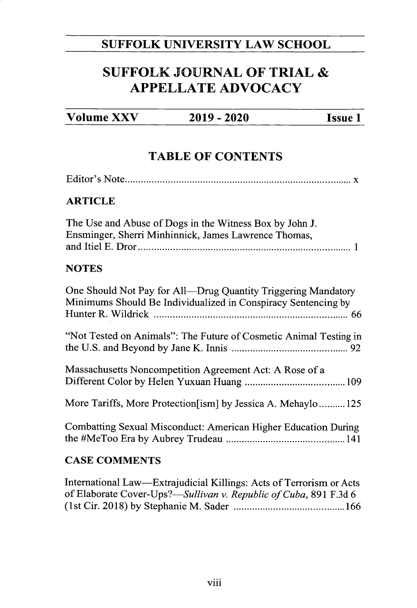### **SUFFOLK UNIVERSITY LAW SCHOOL**

## **SUFFOLK JOURNAL OF TRIAL & APPELLATE ADVOCACY**

| <b>Volume XXV</b> | $2019 - 2020$ | <b>Issue 1</b> |
|-------------------|---------------|----------------|
|-------------------|---------------|----------------|

### **TABLE OF CONTENTS**

#### **ARTICLE**

| The Use and Abuse of Dogs in the Witness Box by John J. |  |
|---------------------------------------------------------|--|
| Ensminger, Sherri Minhinnick, James Lawrence Thomas,    |  |
|                                                         |  |

### **NOTES**

| One Should Not Pay for All—Drug Quantity Triggering Mandatory<br>Minimums Should Be Individualized in Conspiracy Sentencing by |
|--------------------------------------------------------------------------------------------------------------------------------|
| "Not Tested on Animals": The Future of Cosmetic Animal Testing in                                                              |
| Massachusetts Noncompetition Agreement Act: A Rose of a                                                                        |
| More Tariffs, More Protection [ism] by Jessica A. Mehaylo125                                                                   |
| Combatting Sexual Misconduct: American Higher Education During                                                                 |
| <b>CASE COMMENTS</b>                                                                                                           |

International Law-Extrajudicial Killings: Acts of Terrorism or Acts of Elaborate *Cover-Ups?-Sullivan v. Republic of Cuba,* **891 F.3d** 6 (1st Cir. **2018) by** Stephanie M . Sader **.......................................... 166**